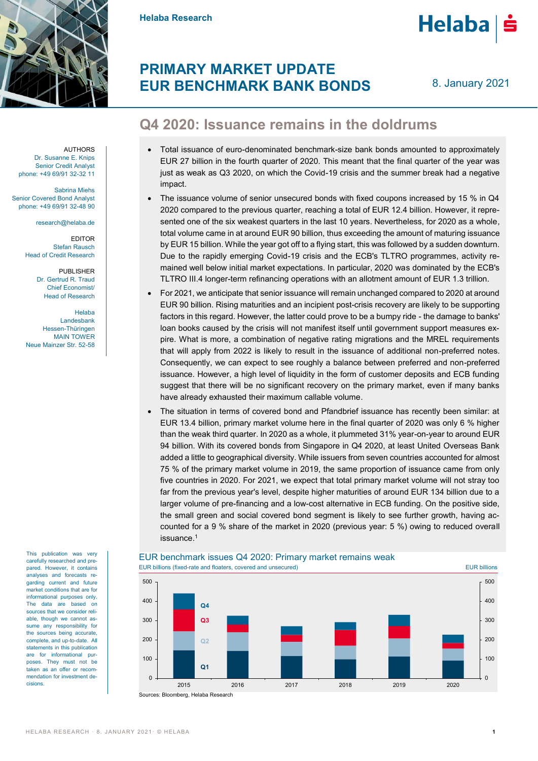

**Helaba Research**



## **PRIMARY MARKET UPDATE EUR BENCHMARK BANK BONDS**

8. January 2021

## **Q4 2020: Issuance remains in the doldrums**

- Total issuance of euro-denominated benchmark-size bank bonds amounted to approximately EUR 27 billion in the fourth quarter of 2020. This meant that the final quarter of the year was just as weak as Q3 2020, on which the Covid-19 crisis and the summer break had a negative impact.
- The issuance volume of senior unsecured bonds with fixed coupons increased by 15 % in Q4 2020 compared to the previous quarter, reaching a total of EUR 12.4 billion. However, it represented one of the six weakest quarters in the last 10 years. Nevertheless, for 2020 as a whole, total volume came in at around EUR 90 billion, thus exceeding the amount of maturing issuance by EUR 15 billion. While the year got off to a flying start, this was followed by a sudden downturn. Due to the rapidly emerging Covid-19 crisis and the ECB's TLTRO programmes, activity remained well below initial market expectations. In particular, 2020 was dominated by the ECB's TLTRO III.4 longer-term refinancing operations with an allotment amount of EUR 1.3 trillion.
- For 2021, we anticipate that senior issuance will remain unchanged compared to 2020 at around EUR 90 billion. Rising maturities and an incipient post-crisis recovery are likely to be supporting factors in this regard. However, the latter could prove to be a bumpy ride - the damage to banks' loan books caused by the crisis will not manifest itself until government support measures expire. What is more, a combination of negative rating migrations and the MREL requirements that will apply from 2022 is likely to result in the issuance of additional non-preferred notes. Consequently, we can expect to see roughly a balance between preferred and non-preferred issuance. However, a high level of liquidity in the form of customer deposits and ECB funding suggest that there will be no significant recovery on the primary market, even if many banks have already exhausted their maximum callable volume.
- The situation in terms of covered bond and Pfandbrief issuance has recently been similar: at EUR 13.4 billion, primary market volume here in the final quarter of 2020 was only 6 % higher than the weak third quarter. In 2020 as a whole, it plummeted 31% year-on-year to around EUR 94 billion. With its covered bonds from Singapore in Q4 2020, at least United Overseas Bank added a little to geographical diversity. While issuers from seven countries accounted for almost 75 % of the primary market volume in 2019, the same proportion of issuance came from only five countries in 2020. For 2021, we expect that total primary market volume will not stray too far from the previous year's level, despite higher maturities of around EUR 134 billion due to a larger volume of pre-financing and a low-cost alternative in ECB funding. On the positive side, the small green and social covered bond segment is likely to see further growth, having accounted for a 9 % share of the market in 2020 (previous year: 5 %) owing to reduced overall issuance. 1

### EUR benchmark issues Q4 2020: Primary market remains weak EUR billions (fixed-rate and floaters, covered and unsecured) EUR billions



AUTHORS Dr. Susanne E. Knips Senior Credit Analyst phone: +49 69/91 32-32 11

Sabrina Miehs Senior Covered Bond Analyst phone: +49 69/91 32-48 90

research@helaba.de

**EDITOR** Stefan Rausch Head of Credit Research

> PUBLISHER Dr. Gertrud R. Traud Chief Economist/ Head of Research

Helaba Landesbank Hessen-Thüringen MAIN TOWER Neue Mainzer Str. 52-58

This publication was very carefully researched and prepared. However, it contains analyses and forecasts regarding current and future market conditions that are for informational purposes only. The data are based on sources that we consider reliable, though we cannot assume any responsibility for the sources being accurate, complete, and up-to-date. All statements in this publication are for informational purposes. They must not be .<br>taken as an offer or recommendation for investment decisions.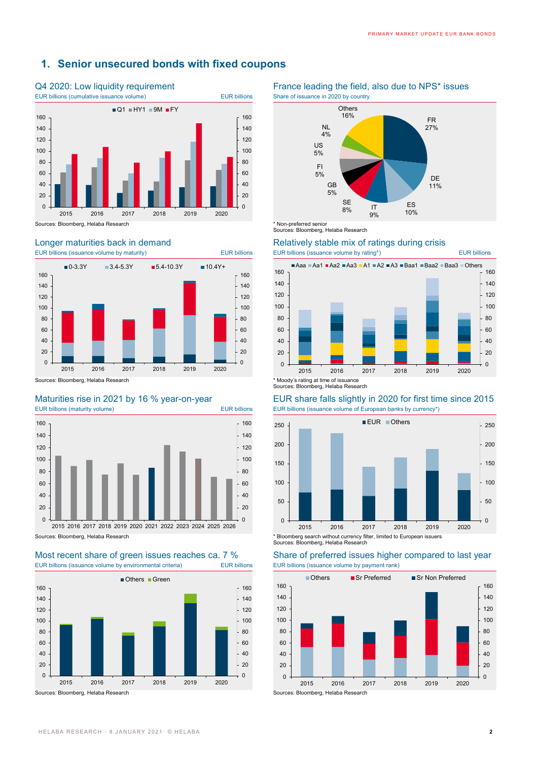### **1. Senior unsecured bonds with fixed coupons**







# EUR billions (issuance volume by environmental criteria) EUR billions EUR billions (issuance volume by payment rank)





Sources: Bloomberg, Helaba Research

# Longer maturities back in demand<br>
EUR billions (issuance volume by maturity) EUR billions<br>
EUR billions (issuance volume by rating\*)



Sources: Bloomberg, Helaba Research

### Maturities rise in 2021 by 16 % year-on-year EUR share falls slightly in 2020 for first time since 2015 EUR billions (maturity volume) EUR billions EUR billions (issuance volume of European banks by currency\*)



# Most recent share of green issues reaches ca. 7 % Share of preferred issues higher compared to last year



EUR billions (issuance volume by maturity) EUR billions EUR billions (issuance volume by rating\*) EUR billions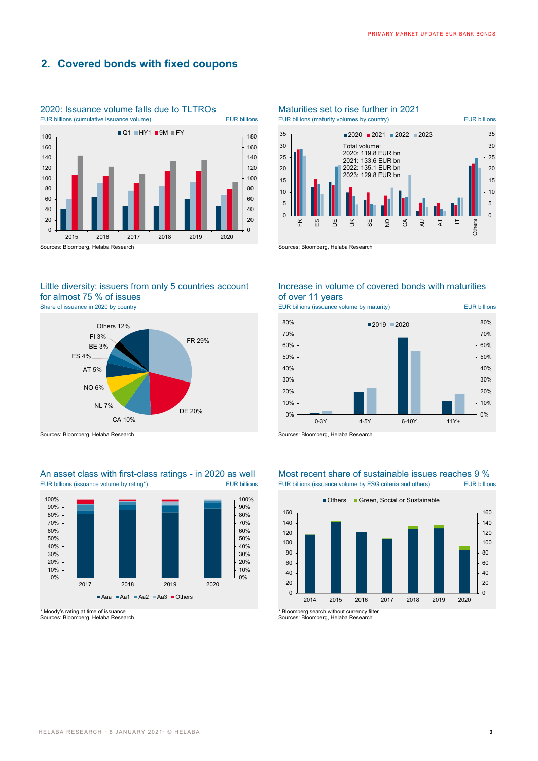### **2. Covered bonds with fixed coupons**



## 2020: Issuance volume falls due to TLTROs Maturities set to rise further in 2021

### Little diversity: issuers from only 5 countries account for almost 75 % of issues Share of issuance in 2020 by country **EUR billions** EUR billions (issuance volume by maturity) EUR billions



# EUR billions (issuance volume by rating\*) EUR billions EUR billions (issuance volume by ESG criteria and others) EUR billions



\* Moody's rating at time of issuance Sources: Bloomberg, Helaba Research



Increase in volume of covered bonds with maturities of over 11 years



# An asset class with first-class ratings - in 2020 as well Most recent share of sustainable issues reaches 9 %



\* Bloomberg search without currency filter

Sources: Bloomberg, Helaba Research